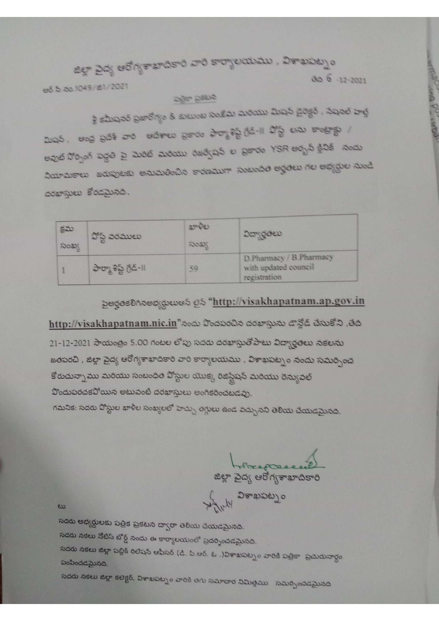สยุร อิตร ยอกรรมของอาย สาย รายรองสมสม, ลิสามลยาง 30 6 -12-2021 පරි බී බී0.1049/කි1/2021 269-5200

Report of the couple

శ్రీ కమీషనర్ ప్రజారోగ్యం & కుటుంబ సంకేషు మరియు మిషన్ డైరెక్టర్ , నేషనల్ హెల్ష్ லூக், மாத் லூக் கால் மக்சாய லூலை சிமாத்ஜ் நீக்-11 ஜீஜ் பல சாவுசத் / అవుట్ నోర్సింగ్ పద్ధతి పై మెరిట్ మెరియు రిజర్వోషన్ ల ప్రకారం YSR అర్బన్ క్లినిక్ నందు லிசுவசாய கல்லுக்கு கல்லக்கில் சன்லையா லைவச்ச் சூச்சு ரிப் சகிழிய வெடு dosrever కోరడమైనది.

| 52<br>ನಂಖ್ಯ | పోస్ట్ వరములు           | தூடுப<br>ನಿಂಖ್ಯ | <i><u><b>Ωσηζόω</b></u></i>                                     |  |
|-------------|-------------------------|-----------------|-----------------------------------------------------------------|--|
|             | ఫార్మా శిష్ట్ గ్రేడ్-11 | 59              | D.Pharmacy / B.Pharmacy<br>with updated council<br>registration |  |

# pogosDnoomgowes 25 "http://visakhapatnam.ap.gov.in

http://visakhapatnam.nic.in"నందు పొందపరచిన దరఖాస్తును డాన్లోడ్ చేసుకోని ,తేది 21-12-2021 సాయంత్రం 5.00 గంటల లోపు సదరు దరఖాస్తుతోపాటు విద్యార్థతలు నకలను జతపరచి, జిల్లా వైద్య ఆరోగ్యశాఖాదికారి వారి కార్యాలయము , విశాఖపట్నం నందు సమర్పించ కోరుచున్నా ము మరియు సంబంధిత పోస్టుల యొక్క రిజిస్టేషన్ మరియు రెన్యువల్ హిందుపరచకవోయిన అటువంటి దరఖాస్తులు అంగికరించబడవు.

గమనిక: సదరు వోస్టుల ఖాళీల సంఖ్యలలో హెచ్చు తగ్గులు ఉండ వచ్చునని తెలియ చేయడమైనది.

జిల్లా పైద్య ఆరోగ్యశాఖాదికారి<br>జిల్లా పైద్య ఆరోగ్యశాఖాదికారి

which georges of

 $\omega$ 

సదరు అభ్యర్ధులకు పత్రిక ప్రకటన ద్వారా తెలియ చేయడమైనది. సదరు నకలు నోటిస్ బోర్డ్ నందు ఈ కార్యాలయంలో ప్రదర్శించడమైనది. సదరు నకలు జిల్లా పబ్లిక్ రిలేషన్ ఆఫీసర్ (డి. పి.ఆర్. ఓ .)విశాఖపట్నం వారికి పెల్లికా ప్రచురునార్ధం పంపించడమైనది.

సదరు నకలు జిల్లా కలెక్టర్, విశాఖపట్నం వారికి తగు సమాచార నిమిత్తము సమర్పించడమైనది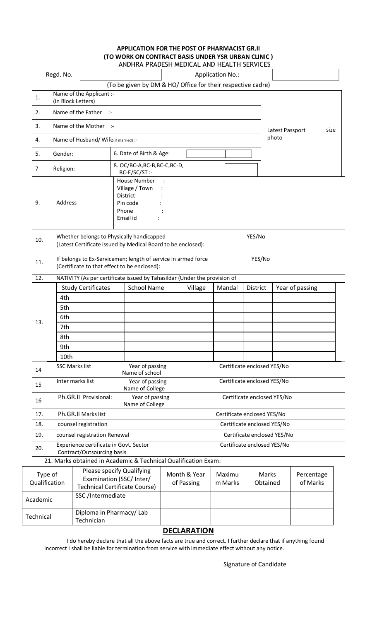## **APPLICATION FOR THE POST OF PHARMACIST GR.II (TO WORK ON CONTRACT BASIS UNDER YSR URBAN CLINIC )**

|               |                                                  |                              | ANDHRA PRADESH MEDICAL AND HEALTH SERVICES                                                                    |  |              |                             |                             |          |                 |  |
|---------------|--------------------------------------------------|------------------------------|---------------------------------------------------------------------------------------------------------------|--|--------------|-----------------------------|-----------------------------|----------|-----------------|--|
|               | Regd. No.                                        |                              |                                                                                                               |  |              | <b>Application No.:</b>     |                             |          |                 |  |
|               |                                                  |                              | (To be given by DM & HO/ Office for their respective cadre)                                                   |  |              |                             |                             |          |                 |  |
| 1.            | Name of the Applicant :-<br>(in Block Letters)   |                              |                                                                                                               |  |              |                             |                             |          |                 |  |
| 2.            | Name of the Father<br>$\mathcal{L}$              |                              |                                                                                                               |  |              |                             |                             |          |                 |  |
| 3.            | Name of the Mother :-<br>Latest Passport<br>size |                              |                                                                                                               |  |              |                             |                             |          |                 |  |
| 4.            | photo<br>Name of Husband/Wife(if married) :-     |                              |                                                                                                               |  |              |                             |                             |          |                 |  |
| 5.            | Gender:                                          |                              | 6. Date of Birth & Age:                                                                                       |  |              |                             |                             |          |                 |  |
| 7             | Religion:                                        |                              | 8. OC/BC-A,BC-B,BC-C,BC-D,<br>BC-E/SC/ST:-                                                                    |  |              |                             |                             |          |                 |  |
| 9.            | Address                                          |                              | House Number<br>Village / Town<br>District<br>Pin code<br>Phone<br>Email id                                   |  |              |                             |                             |          |                 |  |
| 10.           |                                                  |                              | Whether belongs to Physically handicapped<br>(Latest Certificate issued by Medical Board to be enclosed):     |  |              |                             | YES/No                      |          |                 |  |
| 11.           |                                                  |                              | If belongs to Ex-Servicemen; length of service in armed force<br>(Certificate to that effect to be enclosed): |  |              |                             | YES/No                      |          |                 |  |
| 12.           |                                                  |                              | NATIVITY (As per certificate issued by Tahasildar (Under the provision of                                     |  |              |                             |                             |          |                 |  |
|               |                                                  | <b>Study Certificates</b>    | <b>School Name</b>                                                                                            |  | Village      | Mandal                      | District                    |          | Year of passing |  |
|               | 4th                                              |                              |                                                                                                               |  |              |                             |                             |          |                 |  |
|               | 5th                                              |                              |                                                                                                               |  |              |                             |                             |          |                 |  |
|               | 6th                                              |                              |                                                                                                               |  |              |                             |                             |          |                 |  |
| 13.           | 7th                                              |                              |                                                                                                               |  |              |                             |                             |          |                 |  |
|               | 8th                                              |                              |                                                                                                               |  |              |                             |                             |          |                 |  |
|               | 9th                                              |                              |                                                                                                               |  |              |                             |                             |          |                 |  |
|               | 10th                                             |                              |                                                                                                               |  |              |                             |                             |          |                 |  |
| 14            | <b>SSC Marks list</b>                            |                              | Year of passing<br>Name of school                                                                             |  |              | Certificate enclosed YES/No |                             |          |                 |  |
| 15            |                                                  | Inter marks list             | Year of passing<br>Name of College                                                                            |  |              | Certificate enclosed YES/No |                             |          |                 |  |
| 16            |                                                  | Ph.GR.II Provisional:        | Year of passing<br>Name of College                                                                            |  |              |                             | Certificate enclosed YES/No |          |                 |  |
| 17.           |                                                  | Ph.GR.II Marks list          |                                                                                                               |  |              | Certificate enclosed YES/No |                             |          |                 |  |
| 18.           |                                                  | counsel registration         |                                                                                                               |  |              |                             | Certificate enclosed YES/No |          |                 |  |
| 19.           |                                                  | counsel registration Renewal |                                                                                                               |  |              |                             | Certificate enclosed YES/No |          |                 |  |
|               |                                                  |                              | Experience certificate in Govt. Sector                                                                        |  |              |                             | Certificate enclosed YES/No |          |                 |  |
| 20.           |                                                  | Contract/Outsourcing basis   |                                                                                                               |  |              |                             |                             |          |                 |  |
|               |                                                  |                              | 21. Marks obtained in Academic & Technical Qualification Exam:                                                |  |              |                             |                             |          |                 |  |
| Type of       |                                                  |                              | Please specify Qualifying                                                                                     |  | Month & Year | Maximu                      |                             | Marks    | Percentage      |  |
| Qualification |                                                  |                              | Examination (SSC/ Inter/<br><b>Technical Certificate Course)</b>                                              |  | of Passing   | m Marks                     |                             | Obtained | of Marks        |  |
| Academic      |                                                  | SSC/Intermediate             |                                                                                                               |  |              |                             |                             |          |                 |  |
| Technical     |                                                  | Technician                   | Diploma in Pharmacy/Lab                                                                                       |  |              |                             |                             |          |                 |  |
|               |                                                  |                              |                                                                                                               |  |              |                             |                             |          |                 |  |

### **DECLARATION**

I do hereby declare that all the above facts are true and correct. I further declare that if anything found incorrect I shall be liable for termination from service with immediate effect without any notice.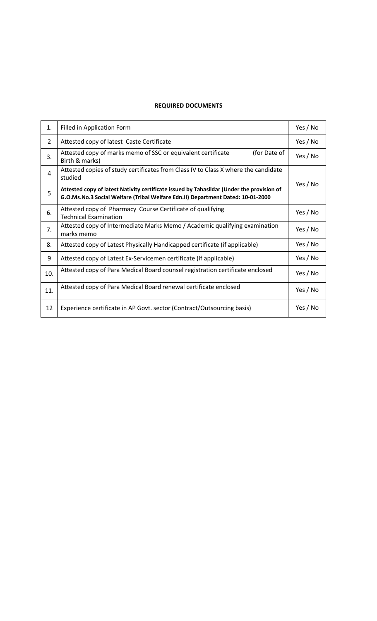#### **REQUIRED DOCUMENTS**

| 1.  | Filled in Application Form                                                                                                                                                   |  |  |  |
|-----|------------------------------------------------------------------------------------------------------------------------------------------------------------------------------|--|--|--|
| 2   | Attested copy of latest Caste Certificate                                                                                                                                    |  |  |  |
| 3.  | Attested copy of marks memo of SSC or equivalent certificate<br>(for Date of<br>Birth & marks)                                                                               |  |  |  |
| 4   | Attested copies of study certificates from Class IV to Class X where the candidate<br>studied                                                                                |  |  |  |
| 5   | Attested copy of latest Nativity certificate issued by Tahasildar (Under the provision of<br>G.O.Ms.No.3 Social Welfare (Tribal Welfare Edn.II) Department Dated: 10-01-2000 |  |  |  |
| 6.  | Attested copy of Pharmacy Course Certificate of qualifying<br><b>Technical Examination</b>                                                                                   |  |  |  |
| 7.  | Attested copy of Intermediate Marks Memo / Academic qualifying examination<br>marks memo                                                                                     |  |  |  |
| 8.  | Attested copy of Latest Physically Handicapped certificate (if applicable)                                                                                                   |  |  |  |
| 9   | Attested copy of Latest Ex-Servicemen certificate (if applicable)                                                                                                            |  |  |  |
| 10. | Attested copy of Para Medical Board counsel registration certificate enclosed                                                                                                |  |  |  |
| 11. | Attested copy of Para Medical Board renewal certificate enclosed                                                                                                             |  |  |  |
| 12  | Experience certificate in AP Govt. sector (Contract/Outsourcing basis)                                                                                                       |  |  |  |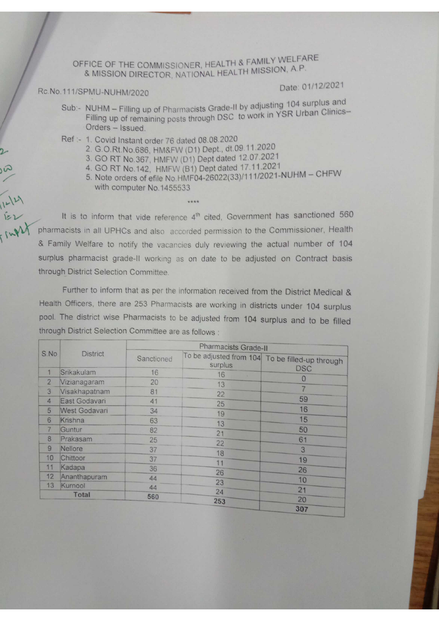OFFICE OF THE COMMISSIONER, HEALTH & FAMILY WELFARE & MISSION DIRECTOR, NATIONAL HEALTH MISSION, A.P.

#### Rc.No.111/SPMU-NUHM/2020

 $\overline{2}$ 

Sul

 $1 - 12$ 

## Date: 01/12/2021

- Sub:- NUHM Filling up of Pharmacists Grade-II by adjusting 104 surplus and Filling up of remaining posts through DSC to work in YSR Urban Clinics-Orders - Issued.
- Ref :- 1. Covid Instant order 76 dated 08.08.2020
	- 2. G.O.Rt.No.686, HM&FW (D1) Dept., dt.09.11.2020
	- 3. GO RT No.367, HMFW (D1) Dept dated 12.07.2021
	- 4. GO RT No.142, HMFW (B1) Dept dated 17.11.2021
	- 5. Note orders of efile No. HMF04-26022(33)/111/2021-NUHM CHFW with computer No.1455533

It is to inform that vide reference 4<sup>th</sup> cited, Government has sanctioned 560 pharmacists in all UPHCs and also accorded permission to the Commissioner, Health & Family Welfare to notify the vacancies duly reviewing the actual number of 104 surplus pharmacist grade-II working as on date to be adjusted on Contract basis through District Selection Committee.

Further to inform that as per the information received from the District Medical & Health Officers, there are 253 Pharmacists are working in districts under 104 surplus pool. The district wise Pharmacists to be adjusted from 104 surplus and to be filled through District Selection Committee are as follows :

|                | <b>District</b>      | Pharmacists Grade-II |          |                                                 |  |  |  |
|----------------|----------------------|----------------------|----------|-------------------------------------------------|--|--|--|
| S.No           |                      | Sanctioned           | surplus  | To be adjusted from 104 To be filled-up through |  |  |  |
| 1              | Srikakulam           | 16                   | 16<br>A. | <b>DSC</b>                                      |  |  |  |
| $\overline{2}$ | Vizianagaram         | 20                   | 13       | $\Omega$                                        |  |  |  |
| 3              | Visakhapatnam        | 81                   | 22       |                                                 |  |  |  |
| $\overline{4}$ | East Godavari        | 41                   | 25       | 59                                              |  |  |  |
| 5              | <b>West Godavari</b> | 34                   | 19       | 16                                              |  |  |  |
| 6              | <b>Krishna</b>       | 63                   | 13       | 15                                              |  |  |  |
| 7              | Guntur               | 82                   | 21       | 50                                              |  |  |  |
| 8              | Prakasam             | 25                   |          | 61                                              |  |  |  |
| 9              | Nellore              | 37                   | 22       | 3                                               |  |  |  |
| 10             | Chittoor             | 37                   | 18       | 19                                              |  |  |  |
| 11             | Kadapa               | 36                   | 11       | 26                                              |  |  |  |
| 12             | Ananthapuram         | 44                   | 26       | 10                                              |  |  |  |
| 13             | Kurnool              | 44                   | 23       |                                                 |  |  |  |
| <b>Total</b>   |                      |                      | 24       | 21                                              |  |  |  |
|                |                      | 560                  | 253      | 20                                              |  |  |  |
|                |                      |                      |          | 307                                             |  |  |  |